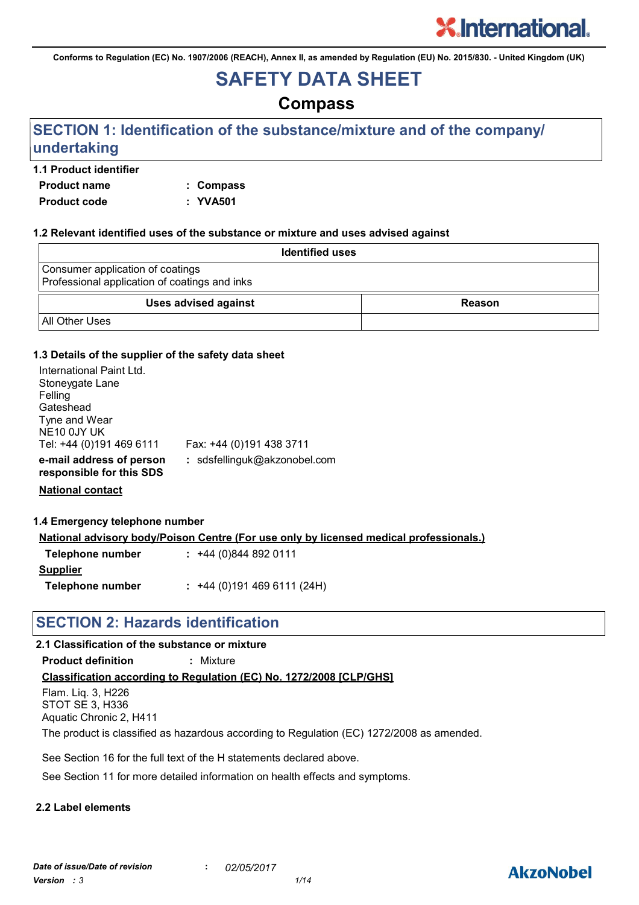**Conforms to Regulation (EC) No. 1907/2006 (REACH), Annex II, as amended by Regulation (EU) No. 2015/830. - United Kingdom (UK)**

## **SAFETY DATA SHEET**

### **Compass**

### **SECTION 1: Identification of the substance/mixture and of the company/ undertaking**

#### **1.1 Product identifier**

**Product name : Compass Product code : YVA501**

#### **1.2 Relevant identified uses of the substance or mixture and uses advised against**

| <b>Identified uses</b>                                                            |               |
|-----------------------------------------------------------------------------------|---------------|
| Consumer application of coatings<br>Professional application of coatings and inks |               |
| <b>Uses advised against</b>                                                       | <b>Reason</b> |
| <b>All Other Uses</b>                                                             |               |

#### **1.3 Details of the supplier of the safety data sheet**

| International Paint Ltd.<br>Stoneygate Lane<br>Felling<br>Gateshead<br>Tyne and Wear<br>NE10 0JY UK<br>Tel: +44 (0)191 469 6111 | Fax: +44 (0)191 438 3711     |
|---------------------------------------------------------------------------------------------------------------------------------|------------------------------|
| e-mail address of person<br>responsible for this SDS                                                                            | : sdsfellinguk@akzonobel.com |

**National contact**

#### **1.4 Emergency telephone number**

**National advisory body/Poison Centre (For use only by licensed medical professionals.)**

| <b>Telephone number</b> | $: +44(0)8448920111$      |
|-------------------------|---------------------------|
| <b>Supplier</b>         |                           |
| Telephone number        | $: +44(0)1914696111(24H)$ |

### **SECTION 2: Hazards identification**

#### **2.1 Classification of the substance or mixture**

**Product definition :** Mixture

#### **Classification according to Regulation (EC) No. 1272/2008 [CLP/GHS]**

Flam. Liq. 3, H226 STOT SE 3, H336 Aquatic Chronic 2, H411

The product is classified as hazardous according to Regulation (EC) 1272/2008 as amended.

See Section 16 for the full text of the H statements declared above.

See Section 11 for more detailed information on health effects and symptoms.

#### **2.2 Label elements**

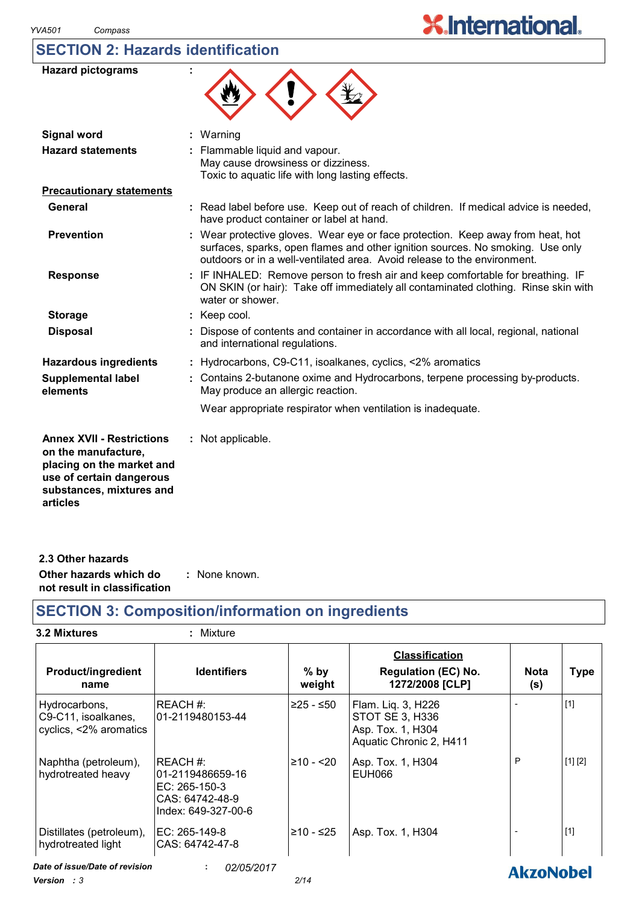### **SECTION 2: Hazards identification**

| <b>Hazard pictograms</b>                                                                                                                                 |                                                                                                                                                                                                                                               |
|----------------------------------------------------------------------------------------------------------------------------------------------------------|-----------------------------------------------------------------------------------------------------------------------------------------------------------------------------------------------------------------------------------------------|
| <b>Signal word</b>                                                                                                                                       | Warning                                                                                                                                                                                                                                       |
| <b>Hazard statements</b>                                                                                                                                 | Flammable liquid and vapour.<br>May cause drowsiness or dizziness.<br>Toxic to aquatic life with long lasting effects.                                                                                                                        |
| <b>Precautionary statements</b>                                                                                                                          |                                                                                                                                                                                                                                               |
| General                                                                                                                                                  | : Read label before use. Keep out of reach of children. If medical advice is needed,<br>have product container or label at hand.                                                                                                              |
| <b>Prevention</b>                                                                                                                                        | : Wear protective gloves. Wear eye or face protection. Keep away from heat, hot<br>surfaces, sparks, open flames and other ignition sources. No smoking. Use only<br>outdoors or in a well-ventilated area. Avoid release to the environment. |
| <b>Response</b>                                                                                                                                          | IF INHALED: Remove person to fresh air and keep comfortable for breathing. IF<br>ON SKIN (or hair): Take off immediately all contaminated clothing. Rinse skin with<br>water or shower.                                                       |
| <b>Storage</b>                                                                                                                                           | : Keep cool.                                                                                                                                                                                                                                  |
| <b>Disposal</b>                                                                                                                                          | Dispose of contents and container in accordance with all local, regional, national<br>and international regulations.                                                                                                                          |
| <b>Hazardous ingredients</b>                                                                                                                             | : Hydrocarbons, C9-C11, isoalkanes, cyclics, <2% aromatics                                                                                                                                                                                    |
| <b>Supplemental label</b><br>elements                                                                                                                    | : Contains 2-butanone oxime and Hydrocarbons, terpene processing by-products.<br>May produce an allergic reaction.                                                                                                                            |
|                                                                                                                                                          | Wear appropriate respirator when ventilation is inadequate.                                                                                                                                                                                   |
| <b>Annex XVII - Restrictions</b><br>on the manufacture,<br>placing on the market and<br>use of certain dangerous<br>substances, mixtures and<br>articles | : Not applicable.                                                                                                                                                                                                                             |

**X.International.** 

**2.3 Other hazards**

**Other hazards which do : not result in classification** : None known.

### **SECTION 3: Composition/information on ingredients**

| 3.2 Mixtures                                                   | : Mixture                                                                                |                  |                                                                                       |                    |             |
|----------------------------------------------------------------|------------------------------------------------------------------------------------------|------------------|---------------------------------------------------------------------------------------|--------------------|-------------|
| <b>Product/ingredient</b><br>name                              | <b>Identifiers</b>                                                                       | $%$ by<br>weight | <b>Classification</b><br><b>Regulation (EC) No.</b><br>1272/2008 [CLP]                | <b>Nota</b><br>(s) | <b>Type</b> |
| Hydrocarbons,<br>C9-C11, isoalkanes,<br>cyclics, <2% aromatics | IREACH #:<br>01-2119480153-44                                                            | ≥25 - ≤50        | Flam. Liq. 3, H226<br>STOT SE 3, H336<br>Asp. Tox. 1, H304<br>Aquatic Chronic 2, H411 |                    | $[1]$       |
| Naphtha (petroleum),<br>hydrotreated heavy                     | IREACH #:<br>01-2119486659-16<br>EC: 265-150-3<br>CAS: 64742-48-9<br>Index: 649-327-00-6 | $≥10 - 520$      | Asp. Tox. 1, H304<br>EUH066                                                           | P                  | [1] [2]     |
| Distillates (petroleum),<br>hydrotreated light                 | IEC: 265-149-8<br>ICAS: 64742-47-8                                                       | ≥10 - ≤25        | Asp. Tox. 1, H304                                                                     |                    | $[1]$       |
| Date of issue/Date of revision                                 | 02/05/2017                                                                               |                  |                                                                                       | <b>AkzoNobel</b>   |             |

*Version : 3 2/14*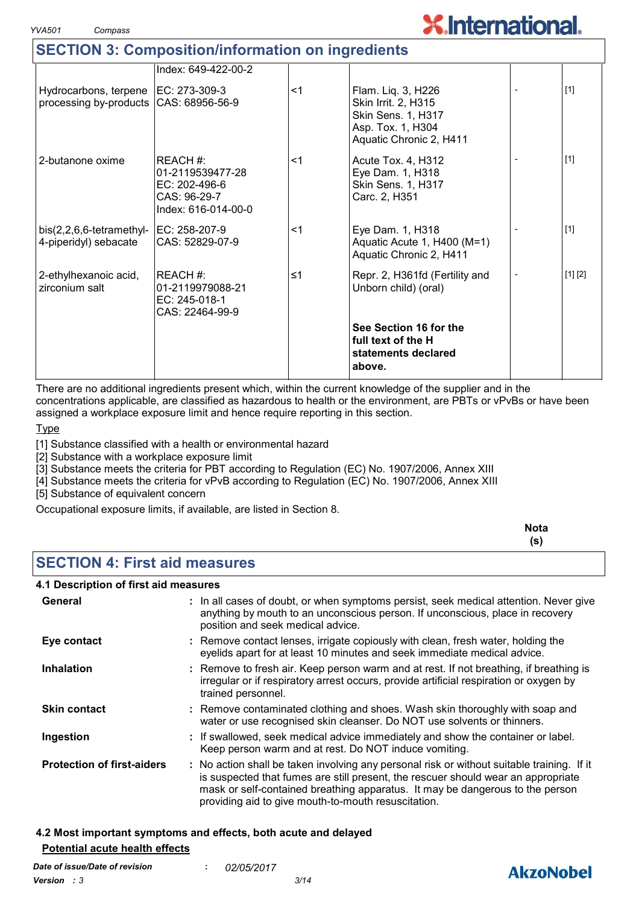*YVA501 Compass* 

### **SECTION 3: Composition/information on ingredients**

|                                                                                 | Index: 649-422-00-2                                                                  |       |                                                                                                                 |         |
|---------------------------------------------------------------------------------|--------------------------------------------------------------------------------------|-------|-----------------------------------------------------------------------------------------------------------------|---------|
| Hydrocarbons, terpene   EC: 273-309-3<br>processing by-products CAS: 68956-56-9 |                                                                                      | $<$ 1 | Flam. Liq. 3, H226<br>Skin Irrit. 2, H315<br>Skin Sens. 1, H317<br>Asp. Tox. 1, H304<br>Aquatic Chronic 2, H411 | $[1]$   |
| 2-butanone oxime                                                                | REACH #:<br>01-2119539477-28<br>EC: 202-496-6<br>CAS: 96-29-7<br>Index: 616-014-00-0 | $<$ 1 | Acute Tox. 4, H312<br>Eye Dam. 1, H318<br>Skin Sens. 1, H317<br>Carc. 2, H351                                   | $[1]$   |
| bis(2,2,6,6-tetramethyl- EC: 258-207-9<br>4-piperidyl) sebacate                 | CAS: 52829-07-9                                                                      | $<$ 1 | Eye Dam. 1, H318<br>Aquatic Acute 1, H400 (M=1)<br>Aquatic Chronic 2, H411                                      | $[1]$   |
| 2-ethylhexanoic acid,<br>zirconium salt                                         | REACH#:<br>l01-2119979088-21<br>EC: 245-018-1<br>CAS: 22464-99-9                     | ≤1    | Repr. 2, H361fd (Fertility and<br>Unborn child) (oral)                                                          | [1] [2] |
|                                                                                 |                                                                                      |       | See Section 16 for the<br>full text of the H<br>statements declared<br>above.                                   |         |

There are no additional ingredients present which, within the current knowledge of the supplier and in the concentrations applicable, are classified as hazardous to health or the environment, are PBTs or vPvBs or have been assigned a workplace exposure limit and hence require reporting in this section.

**Type** 

[1] Substance classified with a health or environmental hazard

[2] Substance with a workplace exposure limit

[3] Substance meets the criteria for PBT according to Regulation (EC) No. 1907/2006, Annex XIII

[4] Substance meets the criteria for vPvB according to Regulation (EC) No. 1907/2006, Annex XIII

[5] Substance of equivalent concern

Occupational exposure limits, if available, are listed in Section 8.

|                                       | <b>Nota</b><br>(s) |
|---------------------------------------|--------------------|
| <b>SECTION 4: First aid measures</b>  |                    |
| 4.1 Description of first aid measures |                    |

| General                           | : In all cases of doubt, or when symptoms persist, seek medical attention. Never give<br>anything by mouth to an unconscious person. If unconscious, place in recovery<br>position and seek medical advice.                                                                                                             |
|-----------------------------------|-------------------------------------------------------------------------------------------------------------------------------------------------------------------------------------------------------------------------------------------------------------------------------------------------------------------------|
| Eye contact                       | : Remove contact lenses, irrigate copiously with clean, fresh water, holding the<br>eyelids apart for at least 10 minutes and seek immediate medical advice.                                                                                                                                                            |
| <b>Inhalation</b>                 | : Remove to fresh air. Keep person warm and at rest. If not breathing, if breathing is<br>irregular or if respiratory arrest occurs, provide artificial respiration or oxygen by<br>trained personnel.                                                                                                                  |
| <b>Skin contact</b>               | : Remove contaminated clothing and shoes. Wash skin thoroughly with soap and<br>water or use recognised skin cleanser. Do NOT use solvents or thinners.                                                                                                                                                                 |
| Ingestion                         | : If swallowed, seek medical advice immediately and show the container or label.<br>Keep person warm and at rest. Do NOT induce vomiting.                                                                                                                                                                               |
| <b>Protection of first-aiders</b> | : No action shall be taken involving any personal risk or without suitable training. If it<br>is suspected that fumes are still present, the rescuer should wear an appropriate<br>mask or self-contained breathing apparatus. It may be dangerous to the person<br>providing aid to give mouth-to-mouth resuscitation. |

#### **4.2 Most important symptoms and effects, both acute and delayed Potential acute health effects**



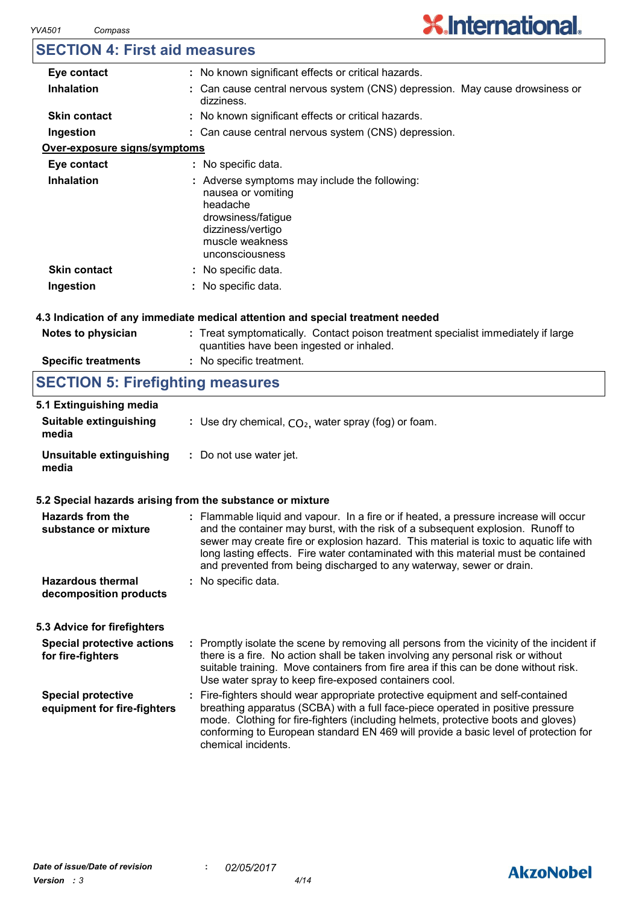### **SECTION 4: First aid measures**

| Eye contact                  | : No known significant effects or critical hazards.                                                                                                              |
|------------------------------|------------------------------------------------------------------------------------------------------------------------------------------------------------------|
| <b>Inhalation</b>            | : Can cause central nervous system (CNS) depression. May cause drowsiness or<br>dizziness.                                                                       |
| <b>Skin contact</b>          | : No known significant effects or critical hazards.                                                                                                              |
| Ingestion                    | : Can cause central nervous system (CNS) depression.                                                                                                             |
| Over-exposure signs/symptoms |                                                                                                                                                                  |
| Eye contact                  | : No specific data.                                                                                                                                              |
| <b>Inhalation</b>            | : Adverse symptoms may include the following:<br>nausea or vomiting<br>headache<br>drowsiness/fatigue<br>dizziness/vertigo<br>muscle weakness<br>unconsciousness |
| <b>Skin contact</b>          | : No specific data.                                                                                                                                              |
| Ingestion                    | No specific data.                                                                                                                                                |

#### **4.3 Indication of any immediate medical attention and special treatment needed**

| Notes to physician         | : Treat symptomatically. Contact poison treatment specialist immediately if large<br>quantities have been ingested or inhaled. |
|----------------------------|--------------------------------------------------------------------------------------------------------------------------------|
| <b>Specific treatments</b> | : No specific treatment.                                                                                                       |

### **SECTION 5: Firefighting measures**

| 5.1 Extinguishing media<br><b>Suitable extinguishing</b><br>media | : Use dry chemical, $CO2$ , water spray (fog) or foam.                                                                                                                                                                                                                                                                                                                                                                           |
|-------------------------------------------------------------------|----------------------------------------------------------------------------------------------------------------------------------------------------------------------------------------------------------------------------------------------------------------------------------------------------------------------------------------------------------------------------------------------------------------------------------|
| Unsuitable extinguishing<br>media                                 | : Do not use water jet.                                                                                                                                                                                                                                                                                                                                                                                                          |
|                                                                   | 5.2 Special hazards arising from the substance or mixture                                                                                                                                                                                                                                                                                                                                                                        |
| <b>Hazards from the</b><br>substance or mixture                   | : Flammable liquid and vapour. In a fire or if heated, a pressure increase will occur<br>and the container may burst, with the risk of a subsequent explosion. Runoff to<br>sewer may create fire or explosion hazard. This material is toxic to aquatic life with<br>long lasting effects. Fire water contaminated with this material must be contained<br>and prevented from being discharged to any waterway, sewer or drain. |
| <b>Hazardous thermal</b><br>decomposition products                | : No specific data.                                                                                                                                                                                                                                                                                                                                                                                                              |
| 5.3 Advice for firefighters                                       |                                                                                                                                                                                                                                                                                                                                                                                                                                  |
| <b>Special protective actions</b><br>for fire-fighters            | : Promptly isolate the scene by removing all persons from the vicinity of the incident if<br>there is a fire. No action shall be taken involving any personal risk or without<br>suitable training. Move containers from fire area if this can be done without risk.<br>Use water spray to keep fire-exposed containers cool.                                                                                                    |
| <b>Special protective</b><br>equipment for fire-fighters          | : Fire-fighters should wear appropriate protective equipment and self-contained<br>breathing apparatus (SCBA) with a full face-piece operated in positive pressure<br>mode. Clothing for fire-fighters (including helmets, protective boots and gloves)<br>conforming to European standard EN 469 will provide a basic level of protection for<br>chemical incidents.                                                            |

### **AkzoNobel**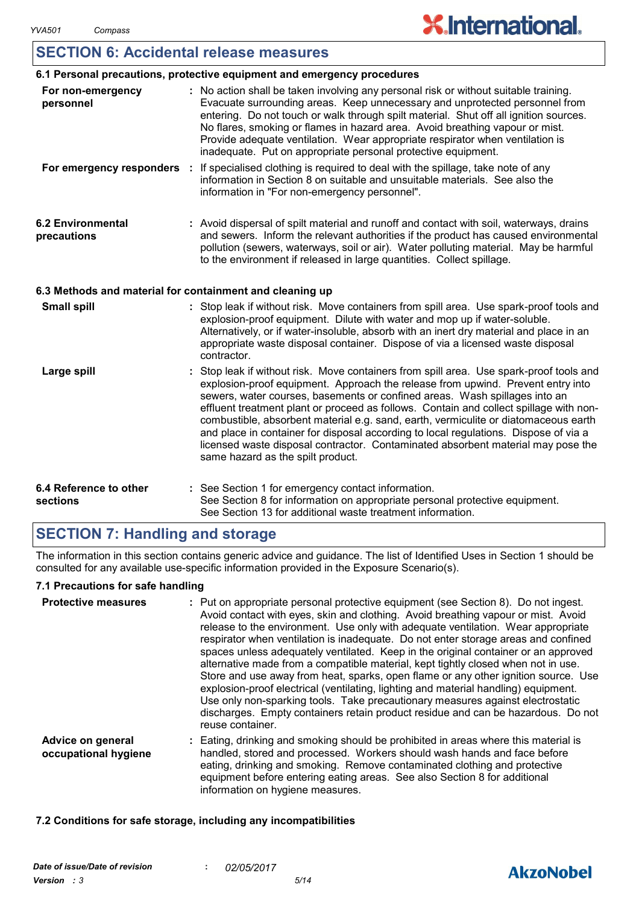#### **SECTION 6: Accidental release measures**

|                                         | 6.1 Personal precautions, protective equipment and emergency procedures                                                                                                                                                                                                                                                                                                                                                                                                                                                                                                                                                                                  |
|-----------------------------------------|----------------------------------------------------------------------------------------------------------------------------------------------------------------------------------------------------------------------------------------------------------------------------------------------------------------------------------------------------------------------------------------------------------------------------------------------------------------------------------------------------------------------------------------------------------------------------------------------------------------------------------------------------------|
| For non-emergency<br>personnel          | : No action shall be taken involving any personal risk or without suitable training.<br>Evacuate surrounding areas. Keep unnecessary and unprotected personnel from<br>entering. Do not touch or walk through spilt material. Shut off all ignition sources.<br>No flares, smoking or flames in hazard area. Avoid breathing vapour or mist.<br>Provide adequate ventilation. Wear appropriate respirator when ventilation is<br>inadequate. Put on appropriate personal protective equipment.                                                                                                                                                           |
| For emergency responders                | If specialised clothing is required to deal with the spillage, take note of any<br>information in Section 8 on suitable and unsuitable materials. See also the<br>information in "For non-emergency personnel".                                                                                                                                                                                                                                                                                                                                                                                                                                          |
| <b>6.2 Environmental</b><br>precautions | : Avoid dispersal of spilt material and runoff and contact with soil, waterways, drains<br>and sewers. Inform the relevant authorities if the product has caused environmental<br>pollution (sewers, waterways, soil or air). Water polluting material. May be harmful<br>to the environment if released in large quantities. Collect spillage.                                                                                                                                                                                                                                                                                                          |
|                                         | 6.3 Methods and material for containment and cleaning up                                                                                                                                                                                                                                                                                                                                                                                                                                                                                                                                                                                                 |
| <b>Small spill</b>                      | : Stop leak if without risk. Move containers from spill area. Use spark-proof tools and<br>explosion-proof equipment. Dilute with water and mop up if water-soluble.<br>Alternatively, or if water-insoluble, absorb with an inert dry material and place in an<br>appropriate waste disposal container. Dispose of via a licensed waste disposal<br>contractor.                                                                                                                                                                                                                                                                                         |
| Large spill                             | Stop leak if without risk. Move containers from spill area. Use spark-proof tools and<br>explosion-proof equipment. Approach the release from upwind. Prevent entry into<br>sewers, water courses, basements or confined areas. Wash spillages into an<br>effluent treatment plant or proceed as follows. Contain and collect spillage with non-<br>combustible, absorbent material e.g. sand, earth, vermiculite or diatomaceous earth<br>and place in container for disposal according to local regulations. Dispose of via a<br>licensed waste disposal contractor. Contaminated absorbent material may pose the<br>same hazard as the spilt product. |
| 6.4 Reference to other<br>sections      | : See Section 1 for emergency contact information.<br>See Section 8 for information on appropriate personal protective equipment.<br>See Section 13 for additional waste treatment information.                                                                                                                                                                                                                                                                                                                                                                                                                                                          |

### **SECTION 7: Handling and storage**

The information in this section contains generic advice and guidance. The list of Identified Uses in Section 1 should be consulted for any available use-specific information provided in the Exposure Scenario(s).

#### **7.1 Precautions for safe handling**

| <b>Protective measures</b>                | : Put on appropriate personal protective equipment (see Section 8). Do not ingest.<br>Avoid contact with eyes, skin and clothing. Avoid breathing vapour or mist. Avoid<br>release to the environment. Use only with adequate ventilation. Wear appropriate<br>respirator when ventilation is inadequate. Do not enter storage areas and confined<br>spaces unless adequately ventilated. Keep in the original container or an approved<br>alternative made from a compatible material, kept tightly closed when not in use.<br>Store and use away from heat, sparks, open flame or any other ignition source. Use<br>explosion-proof electrical (ventilating, lighting and material handling) equipment.<br>Use only non-sparking tools. Take precautionary measures against electrostatic<br>discharges. Empty containers retain product residue and can be hazardous. Do not<br>reuse container. |
|-------------------------------------------|-----------------------------------------------------------------------------------------------------------------------------------------------------------------------------------------------------------------------------------------------------------------------------------------------------------------------------------------------------------------------------------------------------------------------------------------------------------------------------------------------------------------------------------------------------------------------------------------------------------------------------------------------------------------------------------------------------------------------------------------------------------------------------------------------------------------------------------------------------------------------------------------------------|
| Advice on general<br>occupational hygiene | : Eating, drinking and smoking should be prohibited in areas where this material is<br>handled, stored and processed. Workers should wash hands and face before<br>eating, drinking and smoking. Remove contaminated clothing and protective<br>equipment before entering eating areas. See also Section 8 for additional<br>information on hygiene measures.                                                                                                                                                                                                                                                                                                                                                                                                                                                                                                                                       |

#### **7.2 Conditions for safe storage, including any incompatibilities**

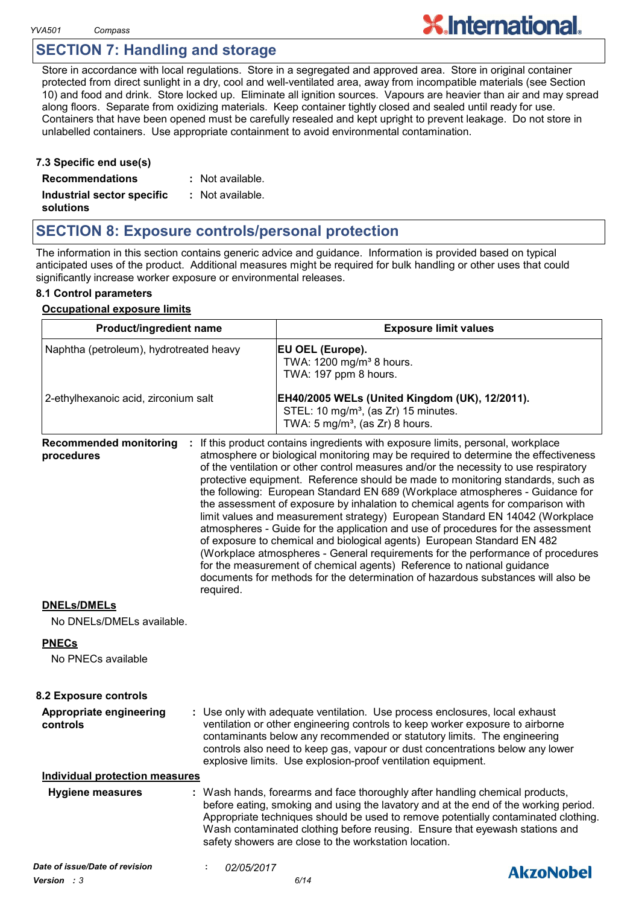### **SECTION 7: Handling and storage**

Store in accordance with local regulations. Store in a segregated and approved area. Store in original container protected from direct sunlight in a dry, cool and well-ventilated area, away from incompatible materials (see Section 10) and food and drink. Store locked up. Eliminate all ignition sources. Vapours are heavier than air and may spread along floors. Separate from oxidizing materials. Keep container tightly closed and sealed until ready for use. Containers that have been opened must be carefully resealed and kept upright to prevent leakage. Do not store in unlabelled containers. Use appropriate containment to avoid environmental contamination.

| 7.3 Specific end use(s)    |                    |
|----------------------------|--------------------|
| <b>Recommendations</b>     | : Not available.   |
| Industrial sector specific | $:$ Not available. |
| solutions                  |                    |

*Version : 3 6/14*

### **SECTION 8: Exposure controls/personal protection**

The information in this section contains generic advice and guidance. Information is provided based on typical anticipated uses of the product. Additional measures might be required for bulk handling or other uses that could significantly increase worker exposure or environmental releases.

#### **8.1 Control parameters**

#### **Occupational exposure limits**

| Product/ingredient name<br>Naphtha (petroleum), hydrotreated heavy<br>2-ethylhexanoic acid, zirconium salt |            | <b>Exposure limit values</b><br>EU OEL (Europe).<br>TWA: 1200 mg/m <sup>3</sup> 8 hours.<br>TWA: 197 ppm 8 hours.                                                                                                                                                                                                                                                                                 |           |                                                                                                                                                                                                                                                                                                                                                                                                                                                                                                                                                                                                                                                                                                                                                                                                                                                                                                                                                                                                                     |                                                                                                                                                  |
|------------------------------------------------------------------------------------------------------------|------------|---------------------------------------------------------------------------------------------------------------------------------------------------------------------------------------------------------------------------------------------------------------------------------------------------------------------------------------------------------------------------------------------------|-----------|---------------------------------------------------------------------------------------------------------------------------------------------------------------------------------------------------------------------------------------------------------------------------------------------------------------------------------------------------------------------------------------------------------------------------------------------------------------------------------------------------------------------------------------------------------------------------------------------------------------------------------------------------------------------------------------------------------------------------------------------------------------------------------------------------------------------------------------------------------------------------------------------------------------------------------------------------------------------------------------------------------------------|--------------------------------------------------------------------------------------------------------------------------------------------------|
|                                                                                                            |            |                                                                                                                                                                                                                                                                                                                                                                                                   |           |                                                                                                                                                                                                                                                                                                                                                                                                                                                                                                                                                                                                                                                                                                                                                                                                                                                                                                                                                                                                                     | EH40/2005 WELs (United Kingdom (UK), 12/2011).<br>STEL: 10 mg/m <sup>3</sup> , (as Zr) 15 minutes.<br>TWA: $5 \text{ mg/m}^3$ , (as Zr) 8 hours. |
|                                                                                                            |            | <b>Recommended monitoring</b><br>procedures                                                                                                                                                                                                                                                                                                                                                       | required. | If this product contains ingredients with exposure limits, personal, workplace<br>atmosphere or biological monitoring may be required to determine the effectiveness<br>of the ventilation or other control measures and/or the necessity to use respiratory<br>protective equipment. Reference should be made to monitoring standards, such as<br>the following: European Standard EN 689 (Workplace atmospheres - Guidance for<br>the assessment of exposure by inhalation to chemical agents for comparison with<br>limit values and measurement strategy) European Standard EN 14042 (Workplace<br>atmospheres - Guide for the application and use of procedures for the assessment<br>of exposure to chemical and biological agents) European Standard EN 482<br>(Workplace atmospheres - General requirements for the performance of procedures<br>for the measurement of chemical agents) Reference to national guidance<br>documents for methods for the determination of hazardous substances will also be |                                                                                                                                                  |
| <b>DNELs/DMELs</b>                                                                                         |            |                                                                                                                                                                                                                                                                                                                                                                                                   |           |                                                                                                                                                                                                                                                                                                                                                                                                                                                                                                                                                                                                                                                                                                                                                                                                                                                                                                                                                                                                                     |                                                                                                                                                  |
| No DNELs/DMELs available.                                                                                  |            |                                                                                                                                                                                                                                                                                                                                                                                                   |           |                                                                                                                                                                                                                                                                                                                                                                                                                                                                                                                                                                                                                                                                                                                                                                                                                                                                                                                                                                                                                     |                                                                                                                                                  |
| <b>PNECs</b><br>No PNECs available                                                                         |            |                                                                                                                                                                                                                                                                                                                                                                                                   |           |                                                                                                                                                                                                                                                                                                                                                                                                                                                                                                                                                                                                                                                                                                                                                                                                                                                                                                                                                                                                                     |                                                                                                                                                  |
| 8.2 Exposure controls                                                                                      |            |                                                                                                                                                                                                                                                                                                                                                                                                   |           |                                                                                                                                                                                                                                                                                                                                                                                                                                                                                                                                                                                                                                                                                                                                                                                                                                                                                                                                                                                                                     |                                                                                                                                                  |
| Appropriate engineering<br>controls                                                                        |            | : Use only with adequate ventilation. Use process enclosures, local exhaust<br>ventilation or other engineering controls to keep worker exposure to airborne<br>contaminants below any recommended or statutory limits. The engineering<br>controls also need to keep gas, vapour or dust concentrations below any lower<br>explosive limits. Use explosion-proof ventilation equipment.          |           |                                                                                                                                                                                                                                                                                                                                                                                                                                                                                                                                                                                                                                                                                                                                                                                                                                                                                                                                                                                                                     |                                                                                                                                                  |
| <b>Individual protection measures</b>                                                                      |            |                                                                                                                                                                                                                                                                                                                                                                                                   |           |                                                                                                                                                                                                                                                                                                                                                                                                                                                                                                                                                                                                                                                                                                                                                                                                                                                                                                                                                                                                                     |                                                                                                                                                  |
| <b>Hygiene measures</b>                                                                                    |            | : Wash hands, forearms and face thoroughly after handling chemical products,<br>before eating, smoking and using the lavatory and at the end of the working period.<br>Appropriate techniques should be used to remove potentially contaminated clothing.<br>Wash contaminated clothing before reusing. Ensure that eyewash stations and<br>safety showers are close to the workstation location. |           |                                                                                                                                                                                                                                                                                                                                                                                                                                                                                                                                                                                                                                                                                                                                                                                                                                                                                                                                                                                                                     |                                                                                                                                                  |
| Date of issue/Date of revision                                                                             | 02/05/2017 | <b>AkzoNobel</b>                                                                                                                                                                                                                                                                                                                                                                                  |           |                                                                                                                                                                                                                                                                                                                                                                                                                                                                                                                                                                                                                                                                                                                                                                                                                                                                                                                                                                                                                     |                                                                                                                                                  |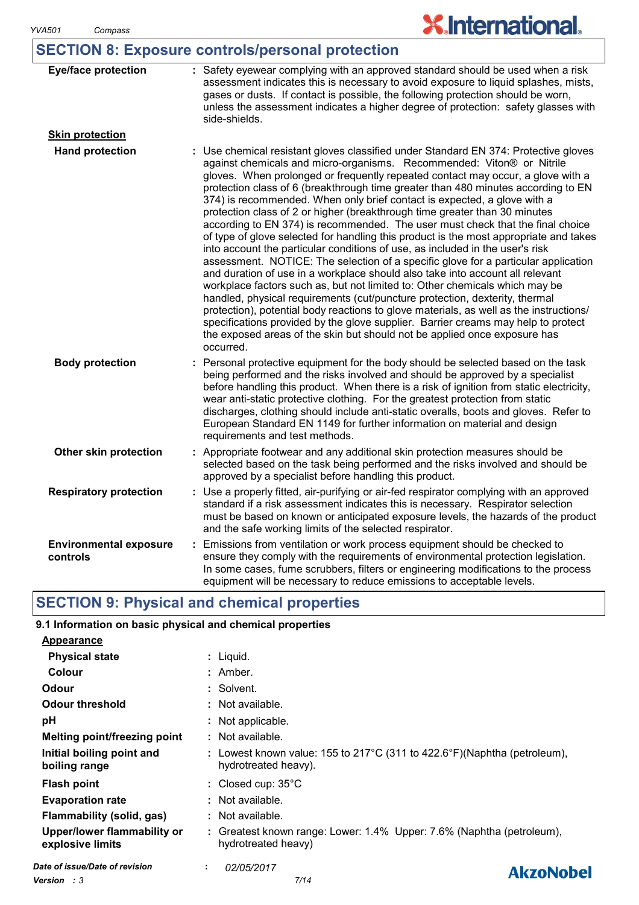### **SECTION 8: Exposure controls/personal protection**

| <b>Eye/face protection</b>                | : Safety eyewear complying with an approved standard should be used when a risk<br>assessment indicates this is necessary to avoid exposure to liquid splashes, mists,<br>gases or dusts. If contact is possible, the following protection should be worn,<br>unless the assessment indicates a higher degree of protection: safety glasses with<br>side-shields.                                                                                                                                                                                                                                                                                                                                                                                                                                                                                                                                                                                                                                                                                                                                                                                                                                                                                                                                                                                                        |
|-------------------------------------------|--------------------------------------------------------------------------------------------------------------------------------------------------------------------------------------------------------------------------------------------------------------------------------------------------------------------------------------------------------------------------------------------------------------------------------------------------------------------------------------------------------------------------------------------------------------------------------------------------------------------------------------------------------------------------------------------------------------------------------------------------------------------------------------------------------------------------------------------------------------------------------------------------------------------------------------------------------------------------------------------------------------------------------------------------------------------------------------------------------------------------------------------------------------------------------------------------------------------------------------------------------------------------------------------------------------------------------------------------------------------------|
| <b>Skin protection</b>                    |                                                                                                                                                                                                                                                                                                                                                                                                                                                                                                                                                                                                                                                                                                                                                                                                                                                                                                                                                                                                                                                                                                                                                                                                                                                                                                                                                                          |
| <b>Hand protection</b>                    | : Use chemical resistant gloves classified under Standard EN 374: Protective gloves<br>against chemicals and micro-organisms. Recommended: Viton® or Nitrile<br>gloves. When prolonged or frequently repeated contact may occur, a glove with a<br>protection class of 6 (breakthrough time greater than 480 minutes according to EN<br>374) is recommended. When only brief contact is expected, a glove with a<br>protection class of 2 or higher (breakthrough time greater than 30 minutes<br>according to EN 374) is recommended. The user must check that the final choice<br>of type of glove selected for handling this product is the most appropriate and takes<br>into account the particular conditions of use, as included in the user's risk<br>assessment. NOTICE: The selection of a specific glove for a particular application<br>and duration of use in a workplace should also take into account all relevant<br>workplace factors such as, but not limited to: Other chemicals which may be<br>handled, physical requirements (cut/puncture protection, dexterity, thermal<br>protection), potential body reactions to glove materials, as well as the instructions/<br>specifications provided by the glove supplier. Barrier creams may help to protect<br>the exposed areas of the skin but should not be applied once exposure has<br>occurred. |
| <b>Body protection</b>                    | Personal protective equipment for the body should be selected based on the task<br>being performed and the risks involved and should be approved by a specialist<br>before handling this product. When there is a risk of ignition from static electricity,<br>wear anti-static protective clothing. For the greatest protection from static<br>discharges, clothing should include anti-static overalls, boots and gloves. Refer to<br>European Standard EN 1149 for further information on material and design<br>requirements and test methods.                                                                                                                                                                                                                                                                                                                                                                                                                                                                                                                                                                                                                                                                                                                                                                                                                       |
| Other skin protection                     | : Appropriate footwear and any additional skin protection measures should be<br>selected based on the task being performed and the risks involved and should be<br>approved by a specialist before handling this product.                                                                                                                                                                                                                                                                                                                                                                                                                                                                                                                                                                                                                                                                                                                                                                                                                                                                                                                                                                                                                                                                                                                                                |
| <b>Respiratory protection</b>             | : Use a properly fitted, air-purifying or air-fed respirator complying with an approved<br>standard if a risk assessment indicates this is necessary. Respirator selection<br>must be based on known or anticipated exposure levels, the hazards of the product<br>and the safe working limits of the selected respirator.                                                                                                                                                                                                                                                                                                                                                                                                                                                                                                                                                                                                                                                                                                                                                                                                                                                                                                                                                                                                                                               |
| <b>Environmental exposure</b><br>controls | Emissions from ventilation or work process equipment should be checked to<br>ensure they comply with the requirements of environmental protection legislation.<br>In some cases, fume scrubbers, filters or engineering modifications to the process<br>equipment will be necessary to reduce emissions to acceptable levels.                                                                                                                                                                                                                                                                                                                                                                                                                                                                                                                                                                                                                                                                                                                                                                                                                                                                                                                                                                                                                                            |

### **SECTION 9: Physical and chemical properties**

#### **9.1 Information on basic physical and chemical properties**

| <b>Flash point</b>                                        | : Closed cup: $35^{\circ}$ C                                                                                                  |
|-----------------------------------------------------------|-------------------------------------------------------------------------------------------------------------------------------|
| boiling range                                             | hydrotreated heavy).                                                                                                          |
| Melting point/freezing point<br>Initial boiling point and | $\therefore$ Not available.<br>: Lowest known value: 155 to 217 $^{\circ}$ C (311 to 422.6 $^{\circ}$ F)(Naphtha (petroleum), |
| рH                                                        | Not applicable.                                                                                                               |
| <b>Odour threshold</b>                                    | : Not available.                                                                                                              |
| Colour<br>Odour                                           | : Amber.<br>: Solvent.                                                                                                        |
| <b>Appearance</b><br><b>Physical state</b>                | : Liquid.                                                                                                                     |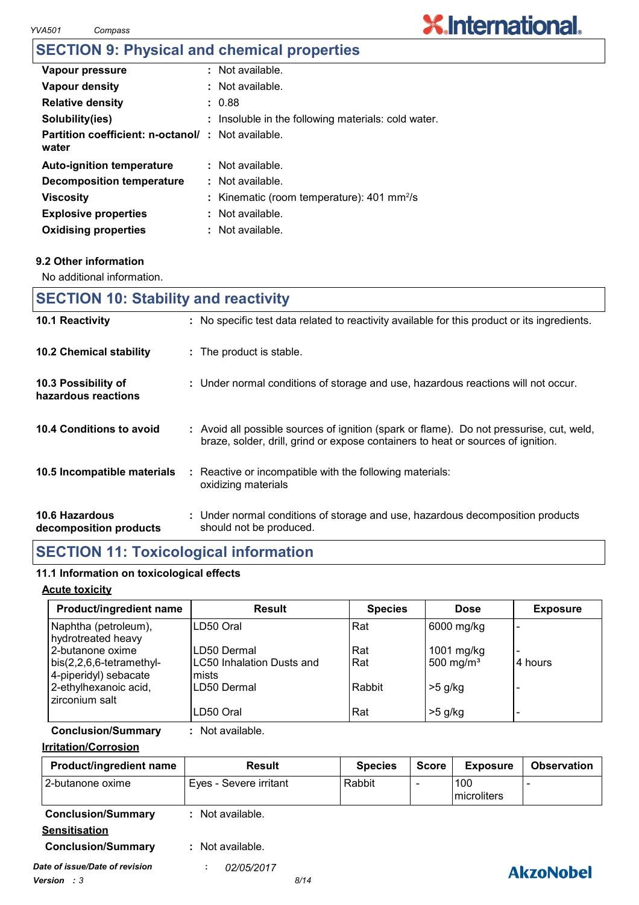### **SECTION 9: Physical and chemical properties**

| Vapour pressure                                                    | : Not available.                                            |
|--------------------------------------------------------------------|-------------------------------------------------------------|
| Vapour density                                                     | : Not available.                                            |
| <b>Relative density</b>                                            | : 0.88                                                      |
| Solubility(ies)                                                    | : Insoluble in the following materials: cold water.         |
| <b>Partition coefficient: n-octanol/ : Not available.</b><br>water |                                                             |
| <b>Auto-ignition temperature</b>                                   | $:$ Not available.                                          |
| <b>Decomposition temperature</b>                                   | $:$ Not available.                                          |
| <b>Viscosity</b>                                                   | : Kinematic (room temperature): $401 \text{ mm}^2/\text{s}$ |
| <b>Explosive properties</b>                                        | $:$ Not available.                                          |
| <b>Oxidising properties</b>                                        | : Not available.                                            |
|                                                                    |                                                             |

#### **9.2 Other information**

No additional information.

| <b>SECTION 10: Stability and reactivity</b>     |                                                                                                                                                                              |
|-------------------------------------------------|------------------------------------------------------------------------------------------------------------------------------------------------------------------------------|
| 10.1 Reactivity                                 | : No specific test data related to reactivity available for this product or its ingredients.                                                                                 |
| <b>10.2 Chemical stability</b>                  | : The product is stable.                                                                                                                                                     |
| 10.3 Possibility of<br>hazardous reactions      | : Under normal conditions of storage and use, hazardous reactions will not occur.                                                                                            |
| 10.4 Conditions to avoid                        | : Avoid all possible sources of ignition (spark or flame). Do not pressurise, cut, weld,<br>braze, solder, drill, grind or expose containers to heat or sources of ignition. |
| 10.5 Incompatible materials                     | : Reactive or incompatible with the following materials:<br>oxidizing materials                                                                                              |
| <b>10.6 Hazardous</b><br>decomposition products | : Under normal conditions of storage and use, hazardous decomposition products<br>should not be produced.                                                                    |

### **SECTION 11: Toxicological information**

#### **11.1 Information on toxicological effects**

#### **Acute toxicity**

| <b>Product/ingredient name</b>                      | <b>Result</b>                      | <b>Species</b> | <b>Dose</b>           | <b>Exposure</b> |
|-----------------------------------------------------|------------------------------------|----------------|-----------------------|-----------------|
| Naphtha (petroleum),<br>hydrotreated heavy          | ILD50 Oral                         | Rat            | 6000 mg/kg            |                 |
| 2-butanone oxime                                    | <b>ILD50 Dermal</b>                | Rat            | 1001 $mg/kg$          |                 |
| $bis(2,2,6,6-tetramethyl-$<br>4-piperidyl) sebacate | LC50 Inhalation Dusts and<br>mists | Rat            | 500 mg/m <sup>3</sup> | l 4 hours       |
| 2-ethylhexanoic acid,<br>zirconium salt             | <b>ILD50 Dermal</b>                | Rabbit         | $>5$ g/kg             |                 |
|                                                     | ILD50 Oral                         | Rat            | $>5$ g/kg             |                 |

**Conclusion/Summary :** Not available.

#### **Irritation/Corrosion**

| <b>Product/ingredient name</b> | Result                 | <b>Species</b> | <b>Score</b> | <b>Exposure</b>     | <b>Observation</b> |
|--------------------------------|------------------------|----------------|--------------|---------------------|--------------------|
| I 2-butanone oxime             | Eyes - Severe irritant | Rabbit         |              | 100<br>Imicroliters |                    |
| <b>Conclusion/Summary</b>      | Not available.         |                |              |                     |                    |

**Sensitisation**

**Conclusion/Summary :** Not available.

*Date of issue/Date of revision* **:** *02/05/2017 Version : 3 8/14*

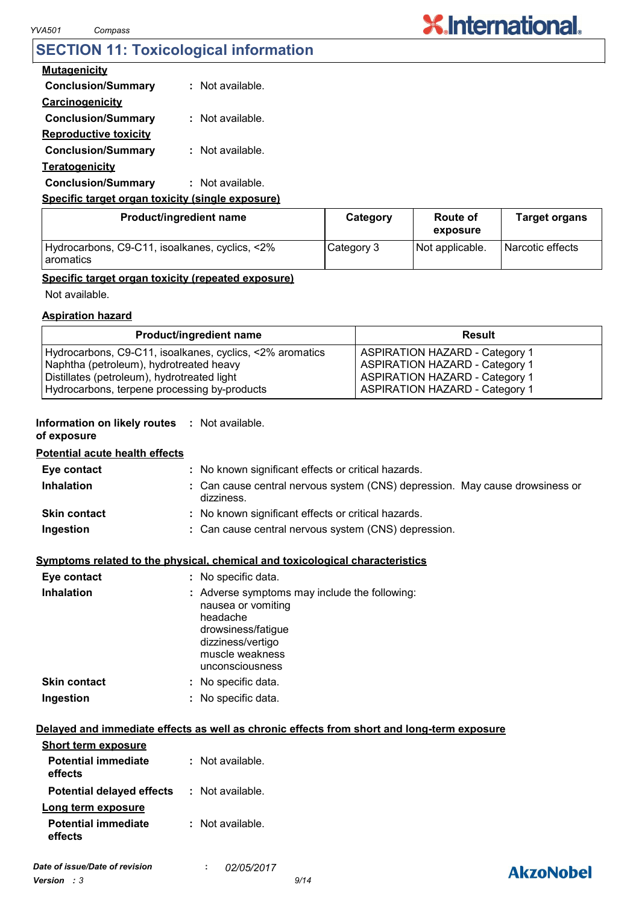### **SECTION 11: Toxicological information**

| <b>Mutagenicity</b>                                     |                  |
|---------------------------------------------------------|------------------|
| <b>Conclusion/Summary</b>                               | : Not available. |
| Carcinogenicity                                         |                  |
| <b>Conclusion/Summary</b>                               | : Not available. |
| <b>Reproductive toxicity</b>                            |                  |
| <b>Conclusion/Summary</b>                               | : Not available. |
| <b>Teratogenicity</b>                                   |                  |
| <b>Conclusion/Summary</b>                               | : Not available. |
| <u>Specific target organ toxicity (single exposure)</u> |                  |

| <b>Product/ingredient name</b>                                | Category   | <b>Route of</b><br>exposure | <b>Target organs</b> |
|---------------------------------------------------------------|------------|-----------------------------|----------------------|
| Hydrocarbons, C9-C11, isoalkanes, cyclics, <2%<br>I aromatics | Category 3 | Not applicable.             | Narcotic effects     |

#### **Specific target organ toxicity (repeated exposure)**

Not available.

#### **Aspiration hazard**

| <b>Product/ingredient name</b>                           | Result                                |
|----------------------------------------------------------|---------------------------------------|
| Hydrocarbons, C9-C11, isoalkanes, cyclics, <2% aromatics | <b>ASPIRATION HAZARD - Category 1</b> |
| Naphtha (petroleum), hydrotreated heavy                  | <b>ASPIRATION HAZARD - Category 1</b> |
| Distillates (petroleum), hydrotreated light              | <b>ASPIRATION HAZARD - Category 1</b> |
| Hydrocarbons, terpene processing by-products             | <b>ASPIRATION HAZARD - Category 1</b> |

#### **Information on likely routes : Not available. of exposure**

**Potential acute health effects**

| Eve contact         | : No known significant effects or critical hazards.                                        |
|---------------------|--------------------------------------------------------------------------------------------|
| <b>Inhalation</b>   | : Can cause central nervous system (CNS) depression. May cause drowsiness or<br>dizziness. |
| <b>Skin contact</b> | : No known significant effects or critical hazards.                                        |
| Ingestion           | : Can cause central nervous system (CNS) depression.                                       |

#### **Symptoms related to the physical, chemical and toxicological characteristics**

| Eye contact         | : No specific data.                                                                                                                                              |
|---------------------|------------------------------------------------------------------------------------------------------------------------------------------------------------------|
| <b>Inhalation</b>   | : Adverse symptoms may include the following:<br>nausea or vomiting<br>headache<br>drowsiness/fatigue<br>dizziness/vertigo<br>muscle weakness<br>unconsciousness |
| <b>Skin contact</b> | : No specific data.                                                                                                                                              |
| Ingestion           | : No specific data.                                                                                                                                              |

#### **Delayed and immediate effects as well as chronic effects from short and long-term exposure**

| <b>Short term exposure</b>            |                    |
|---------------------------------------|--------------------|
| <b>Potential immediate</b><br>effects | $:$ Not available. |
| <b>Potential delayed effects</b>      | : Not available.   |
| Long term exposure                    |                    |
| <b>Potential immediate</b><br>effects | : Not available.   |

### **AkzoNobel**

**X.International.**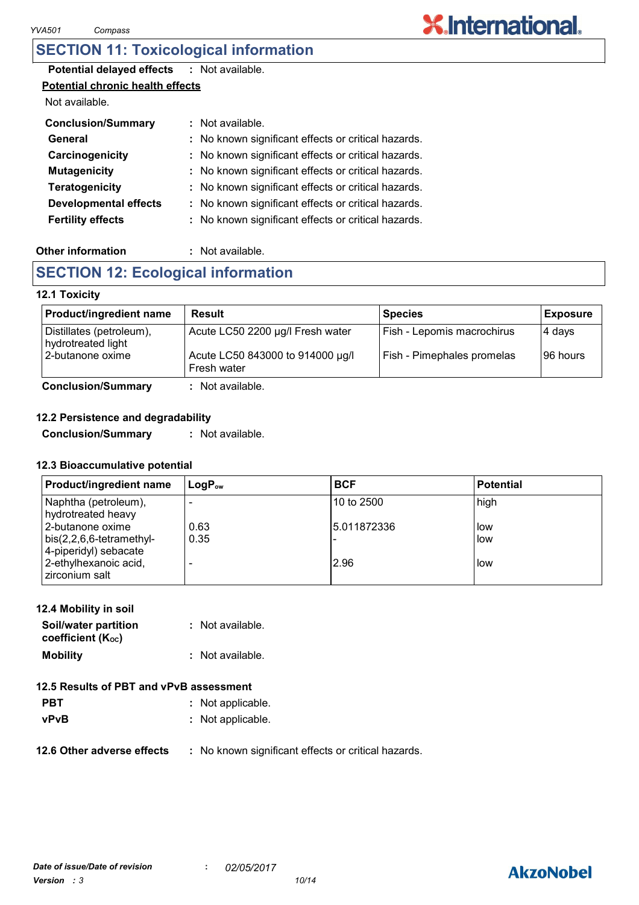### **SECTION 11: Toxicological information**

| <b>Potential delayed effects : Not available.</b> |                                                     |  |  |  |  |
|---------------------------------------------------|-----------------------------------------------------|--|--|--|--|
|                                                   | <b>Potential chronic health effects</b>             |  |  |  |  |
| Not available.                                    |                                                     |  |  |  |  |
| <b>Conclusion/Summary</b>                         | : Not available.                                    |  |  |  |  |
| General                                           | : No known significant effects or critical hazards. |  |  |  |  |
| Carcinogenicity                                   | : No known significant effects or critical hazards. |  |  |  |  |
| <b>Mutagenicity</b>                               | : No known significant effects or critical hazards. |  |  |  |  |
| <b>Teratogenicity</b>                             | : No known significant effects or critical hazards. |  |  |  |  |
| <b>Developmental effects</b>                      | : No known significant effects or critical hazards. |  |  |  |  |
| <b>Fertility effects</b>                          | : No known significant effects or critical hazards. |  |  |  |  |
|                                                   |                                                     |  |  |  |  |

#### **Other information :**

: Not available.

### **SECTION 12: Ecological information**

#### **12.1 Toxicity**

| Product/ingredient name                        | <b>Result</b>                                   | <b>Species</b>             | <b>Exposure</b> |
|------------------------------------------------|-------------------------------------------------|----------------------------|-----------------|
| Distillates (petroleum),<br>hydrotreated light | Acute LC50 2200 µg/l Fresh water                | Fish - Lepomis macrochirus | 4 days          |
| 2-butanone oxime                               | Acute LC50 843000 to 914000 µg/l<br>Fresh water | Fish - Pimephales promelas | 196 hours       |
| <b>Conclusion/Summary</b>                      | : Not available.                                |                            |                 |

#### **12.2 Persistence and degradability**

**Conclusion/Summary :** Not available.

#### **12.3 Bioaccumulative potential**

| <b>Product/ingredient name</b>                                          | $\mathsf{LogP}_\mathsf{ow}$ | <b>BCF</b>   | <b>Potential</b> |
|-------------------------------------------------------------------------|-----------------------------|--------------|------------------|
| Naphtha (petroleum),<br>hydrotreated heavy                              |                             | 10 to 2500   | high             |
| 2-butanone oxime<br>$bis(2,2,6,6-tetramethyl-$<br>4-piperidyl) sebacate | 0.63<br>0.35                | 15.011872336 | low<br>l low     |
| 2-ethylhexanoic acid,<br>zirconium salt                                 |                             | 2.96         | low              |

#### **12.4 Mobility in soil**

| Soil/water partition<br>coefficient (K <sub>oc</sub> ) | : Not available. |
|--------------------------------------------------------|------------------|
| <b>Mobility</b>                                        | : Not available. |

| <b>PBT</b> | : Not applicable. |  |
|------------|-------------------|--|
|------------|-------------------|--|

**vPvB :** Not applicable.

**12.6 Other adverse effects** : No known significant effects or critical hazards.

### **AkzoNobel**

**X.International.**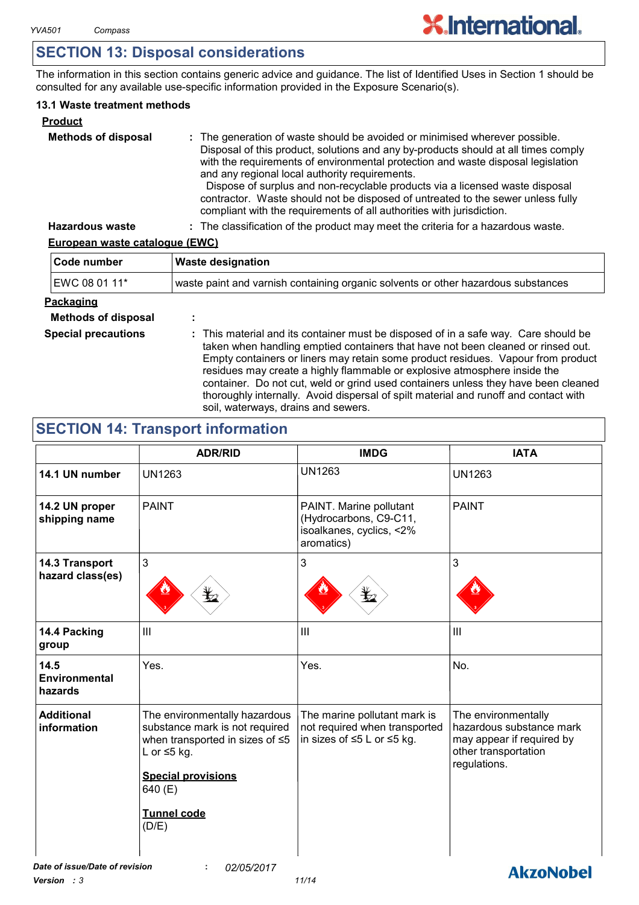**AkzoNobel** 

### **SECTION 13: Disposal considerations**

The information in this section contains generic advice and guidance. The list of Identified Uses in Section 1 should be consulted for any available use-specific information provided in the Exposure Scenario(s).

#### **13.1 Waste treatment methods**

| <b>Product</b>             |                                                                                                                                                                                                                                                                                                                                                                                                                                                                                                                                                     |
|----------------------------|-----------------------------------------------------------------------------------------------------------------------------------------------------------------------------------------------------------------------------------------------------------------------------------------------------------------------------------------------------------------------------------------------------------------------------------------------------------------------------------------------------------------------------------------------------|
| <b>Methods of disposal</b> | : The generation of waste should be avoided or minimised wherever possible.<br>Disposal of this product, solutions and any by-products should at all times comply<br>with the requirements of environmental protection and waste disposal legislation<br>and any regional local authority requirements.<br>Dispose of surplus and non-recyclable products via a licensed waste disposal<br>contractor. Waste should not be disposed of untreated to the sewer unless fully<br>compliant with the requirements of all authorities with jurisdiction. |
| Hazardous waste            | : The classification of the product may meet the criteria for a hazardous waste.                                                                                                                                                                                                                                                                                                                                                                                                                                                                    |

#### **European waste catalogue (EWC)**

| Code number<br><b>Waste designation</b> |                                                                                   |  |  |
|-----------------------------------------|-----------------------------------------------------------------------------------|--|--|
| EWC 08 01 11*                           | waste paint and varnish containing organic solvents or other hazardous substances |  |  |
| <u>Packaging</u><br>.                   |                                                                                   |  |  |

### **Methods of disposal :**

**Special precautions :** This material and its container must be disposed of in a safe way. Care should be taken when handling emptied containers that have not been cleaned or rinsed out. Empty containers or liners may retain some product residues. Vapour from product residues may create a highly flammable or explosive atmosphere inside the container. Do not cut, weld or grind used containers unless they have been cleaned thoroughly internally. Avoid dispersal of spilt material and runoff and contact with soil, waterways, drains and sewers.

### **SECTION 14: Transport information**

|                                    | <b>ADR/RID</b>                                                                                                                                                                                 | <b>IMDG</b>                                                                                 | <b>IATA</b>                                                                                                          |
|------------------------------------|------------------------------------------------------------------------------------------------------------------------------------------------------------------------------------------------|---------------------------------------------------------------------------------------------|----------------------------------------------------------------------------------------------------------------------|
| 14.1 UN number                     | <b>UN1263</b>                                                                                                                                                                                  | <b>UN1263</b>                                                                               | <b>UN1263</b>                                                                                                        |
| 14.2 UN proper<br>shipping name    | <b>PAINT</b>                                                                                                                                                                                   | PAINT. Marine pollutant<br>(Hydrocarbons, C9-C11,<br>isoalkanes, cyclics, <2%<br>aromatics) | <b>PAINT</b>                                                                                                         |
| 14.3 Transport<br>hazard class(es) | 3                                                                                                                                                                                              | 3                                                                                           | 3                                                                                                                    |
| 14.4 Packing<br>group              | III                                                                                                                                                                                            | $\mathbf{III}$                                                                              | III                                                                                                                  |
| 14.5<br>Environmental<br>hazards   | Yes.                                                                                                                                                                                           | Yes.                                                                                        | No.                                                                                                                  |
| <b>Additional</b><br>information   | The environmentally hazardous<br>substance mark is not required<br>when transported in sizes of ≤5<br>L or $\leq$ 5 kg.<br><b>Special provisions</b><br>640 (E)<br><b>Tunnel code</b><br>(D/E) | The marine pollutant mark is<br>not required when transported<br>in sizes of ≤5 L or ≤5 kg. | The environmentally<br>hazardous substance mark<br>may appear if required by<br>other transportation<br>regulations. |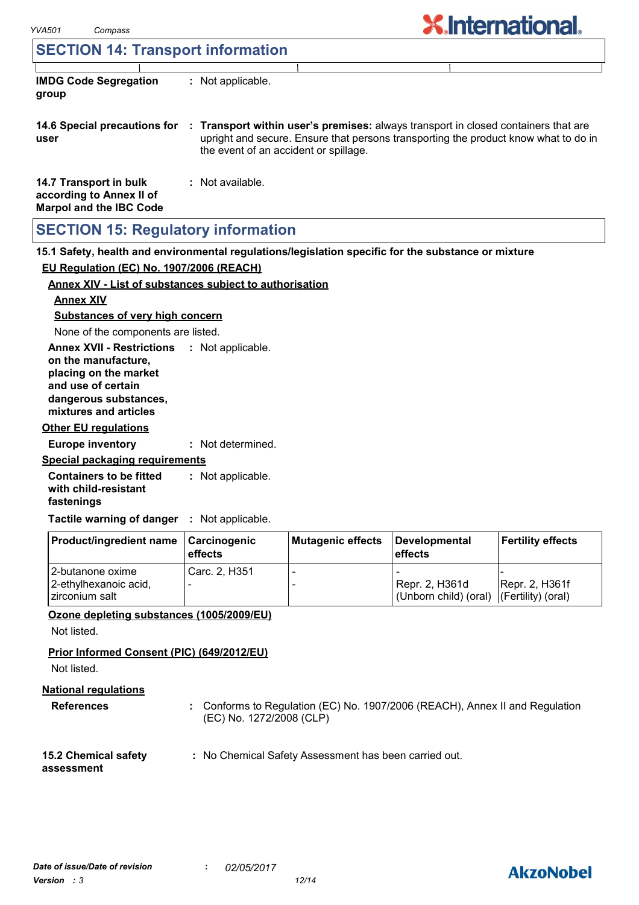### **SECTION 14: Transport information**

| <b>IMDG Code Segregation</b><br>group |  | : Not applicable.                                                                                                                                                                                                                               |
|---------------------------------------|--|-------------------------------------------------------------------------------------------------------------------------------------------------------------------------------------------------------------------------------------------------|
| user                                  |  | 14.6 Special precautions for : Transport within user's premises: always transport in closed containers that are<br>upright and secure. Ensure that persons transporting the product know what to do in<br>the event of an accident or spillage. |

**X**.International

**14.7 Transport in bulk according to Annex II of Marpol and the IBC Code :** Not available.

### **SECTION 15: Regulatory information**

**15.1 Safety, health and environmental regulations/legislation specific for the substance or mixture**

#### **EU Regulation (EC) No. 1907/2006 (REACH)**

#### **Annex XIV - List of substances subject to authorisation**

#### **Annex XIV**

**Substances of very high concern**

None of the components are listed.

**Annex XVII - Restrictions : Not applicable.** 

**on the manufacture, placing on the market and use of certain dangerous substances, mixtures and articles**

#### **Other EU regulations**

**Europe inventory :** Not determined.

#### **Special packaging requirements**

**Containers to be fitted with child-resistant fastenings** Not applicable. **:**

**Tactile warning of danger : Not applicable.** 

| <b>Product/ingredient name</b>            | <b>Carcinogenic</b><br><b>effects</b> | Mutagenic effects | Developmental<br>effects                                   | Fertility effects |
|-------------------------------------------|---------------------------------------|-------------------|------------------------------------------------------------|-------------------|
| 2-butanone oxime                          | Carc. 2, H351                         |                   |                                                            |                   |
| 2-ethylhexanoic acid,<br>I zirconium salt | $\overline{\phantom{a}}$              |                   | Repr. 2, H361d<br>(Unborn child) (oral) (Fertility) (oral) | Repr. 2, H361f    |

#### **Ozone depleting substances (1005/2009/EU)**

Not listed.

#### **Prior Informed Consent (PIC) (649/2012/EU)**

Not listed.

#### **National regulations**

**References :** Conforms to Regulation (EC) No. 1907/2006 (REACH), Annex II and Regulation (EC) No. 1272/2008 (CLP)

#### **15.2 Chemical safety :** No Chemical Safety Assessment has been carried out.

### **AkzoNobel**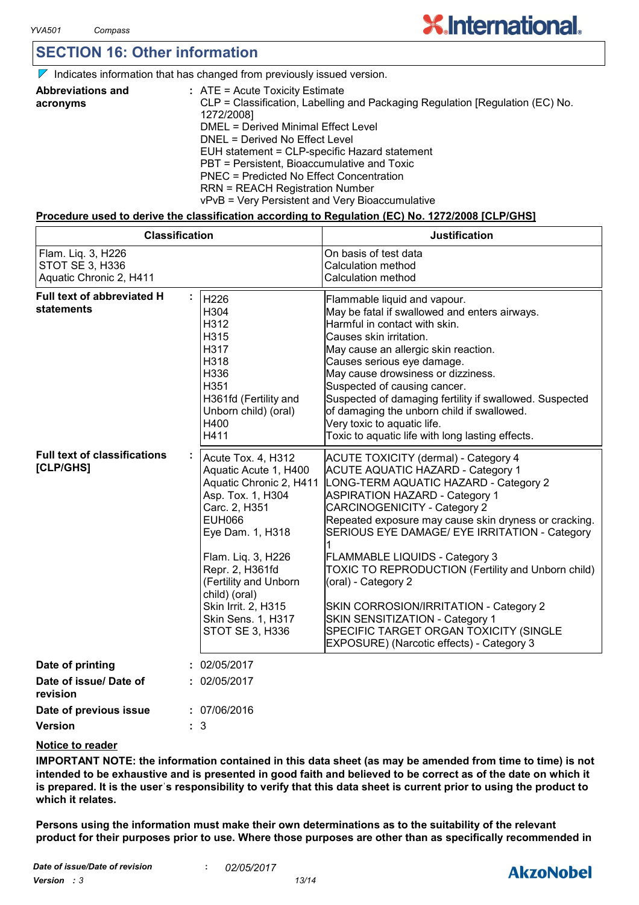### **SECTION 16: Other information**

 $\nabla$  Indicates information that has changed from previously issued version.

| <b>Abbreviations and</b> | $:$ ATE = Acute Toxicity Estimate                                             |
|--------------------------|-------------------------------------------------------------------------------|
| acronyms                 | CLP = Classification, Labelling and Packaging Regulation [Regulation (EC) No. |
|                          | 1272/2008]                                                                    |
|                          | DMEL = Derived Minimal Effect Level                                           |
|                          | DNEL = Derived No Effect Level                                                |
|                          | EUH statement = CLP-specific Hazard statement                                 |
|                          | PBT = Persistent, Bioaccumulative and Toxic                                   |
|                          | PNEC = Predicted No Effect Concentration                                      |
|                          | <b>RRN = REACH Registration Number</b>                                        |
|                          | vPvB = Very Persistent and Very Bioaccumulative                               |

#### **Procedure used to derive the classification according to Regulation (EC) No. 1272/2008 [CLP/GHS]**

| <b>Classification</b>                                            |                                                                                                                                                                                                                                                                                                      | <b>Justification</b>                                                                                                                                                                                                                                                                                                                                                                                                                                                                                                                                                                                          |  |
|------------------------------------------------------------------|------------------------------------------------------------------------------------------------------------------------------------------------------------------------------------------------------------------------------------------------------------------------------------------------------|---------------------------------------------------------------------------------------------------------------------------------------------------------------------------------------------------------------------------------------------------------------------------------------------------------------------------------------------------------------------------------------------------------------------------------------------------------------------------------------------------------------------------------------------------------------------------------------------------------------|--|
| Flam. Liq. 3, H226<br>STOT SE 3, H336<br>Aquatic Chronic 2, H411 |                                                                                                                                                                                                                                                                                                      | On basis of test data<br>Calculation method<br>Calculation method                                                                                                                                                                                                                                                                                                                                                                                                                                                                                                                                             |  |
| <b>Full text of abbreviated H</b><br><b>statements</b>           | ÷.<br>H226<br>H304<br>H312<br>H315<br>H317<br>H318<br>H336<br>H351<br>H361fd (Fertility and<br>Unborn child) (oral)<br>H400<br>H411                                                                                                                                                                  | Flammable liquid and vapour.<br>May be fatal if swallowed and enters airways.<br>Harmful in contact with skin.<br>Causes skin irritation.<br>May cause an allergic skin reaction.<br>Causes serious eye damage.<br>May cause drowsiness or dizziness.<br>Suspected of causing cancer.<br>Suspected of damaging fertility if swallowed. Suspected<br>of damaging the unborn child if swallowed.<br>Very toxic to aquatic life.<br>Toxic to aquatic life with long lasting effects.                                                                                                                             |  |
| <b>Full text of classifications</b><br>[CLP/GHS]                 | Acute Tox. 4, H312<br>Aquatic Acute 1, H400<br>Aquatic Chronic 2, H411<br>Asp. Tox. 1, H304<br>Carc. 2, H351<br><b>EUH066</b><br>Eye Dam. 1, H318<br>Flam. Liq. 3, H226<br>Repr. 2, H361fd<br>(Fertility and Unborn<br>child) (oral)<br>Skin Irrit. 2, H315<br>Skin Sens. 1, H317<br>STOT SE 3, H336 | ACUTE TOXICITY (dermal) - Category 4<br><b>ACUTE AQUATIC HAZARD - Category 1</b><br>LONG-TERM AQUATIC HAZARD - Category 2<br><b>ASPIRATION HAZARD - Category 1</b><br><b>CARCINOGENICITY - Category 2</b><br>Repeated exposure may cause skin dryness or cracking.<br>SERIOUS EYE DAMAGE/ EYE IRRITATION - Category<br><b>FLAMMABLE LIQUIDS - Category 3</b><br>TOXIC TO REPRODUCTION (Fertility and Unborn child)<br>(oral) - Category 2<br>SKIN CORROSION/IRRITATION - Category 2<br>SKIN SENSITIZATION - Category 1<br>SPECIFIC TARGET ORGAN TOXICITY (SINGLE<br>EXPOSURE) (Narcotic effects) - Category 3 |  |
| Date of printing                                                 | : 02/05/2017                                                                                                                                                                                                                                                                                         |                                                                                                                                                                                                                                                                                                                                                                                                                                                                                                                                                                                                               |  |
| Date of issue/ Date of<br>revision                               | : 02/05/2017                                                                                                                                                                                                                                                                                         |                                                                                                                                                                                                                                                                                                                                                                                                                                                                                                                                                                                                               |  |
| Date of previous issue                                           | : 07/06/2016                                                                                                                                                                                                                                                                                         |                                                                                                                                                                                                                                                                                                                                                                                                                                                                                                                                                                                                               |  |
| Version                                                          | : 3                                                                                                                                                                                                                                                                                                  |                                                                                                                                                                                                                                                                                                                                                                                                                                                                                                                                                                                                               |  |

#### **Notice to reader**

**IMPORTANT NOTE: the information contained in this data sheet (as may be amended from time to time) is not intended to be exhaustive and is presented in good faith and believed to be correct as of the date on which it is prepared. It is the userˈs responsibility to verify that this data sheet is current prior to using the product to which it relates.**

**Persons using the information must make their own determinations as to the suitability of the relevant product for their purposes prior to use. Where those purposes are other than as specifically recommended in**